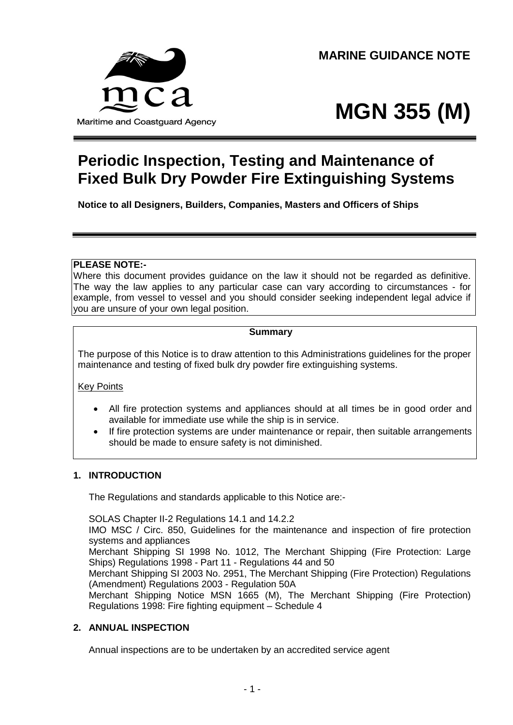

**MARINE GUIDANCE NOTE**

# **MGN 355 (M)**

# **Periodic Inspection, Testing and Maintenance of Fixed Bulk Dry Powder Fire Extinguishing Systems**

**Notice to all Designers, Builders, Companies, Masters and Officers of Ships**

## **PLEASE NOTE:-**

Where this document provides guidance on the law it should not be regarded as definitive. The way the law applies to any particular case can vary according to circumstances - for example, from vessel to vessel and you should consider seeking independent legal advice if you are unsure of your own legal position.

# **Summary**

The purpose of this Notice is to draw attention to this Administrations guidelines for the proper maintenance and testing of fixed bulk dry powder fire extinguishing systems.

## Key Points

- All fire protection systems and appliances should at all times be in good order and available for immediate use while the ship is in service.
- If fire protection systems are under maintenance or repair, then suitable arrangements should be made to ensure safety is not diminished.

#### **1. INTRODUCTION**

The Regulations and standards applicable to this Notice are:-

SOLAS Chapter II-2 Regulations 14.1 and 14.2.2

IMO MSC / Circ. 850, Guidelines for the maintenance and inspection of fire protection systems and appliances

Merchant Shipping SI 1998 No. 1012, The Merchant Shipping (Fire Protection: Large Ships) Regulations 1998 - Part 11 - Regulations 44 and 50

Merchant Shipping SI 2003 No. 2951, The Merchant Shipping (Fire Protection) Regulations (Amendment) Regulations 2003 - Regulation 50A

Merchant Shipping Notice MSN 1665 (M), The Merchant Shipping (Fire Protection) Regulations 1998: Fire fighting equipment – Schedule 4

## **2. ANNUAL INSPECTION**

Annual inspections are to be undertaken by an accredited service agent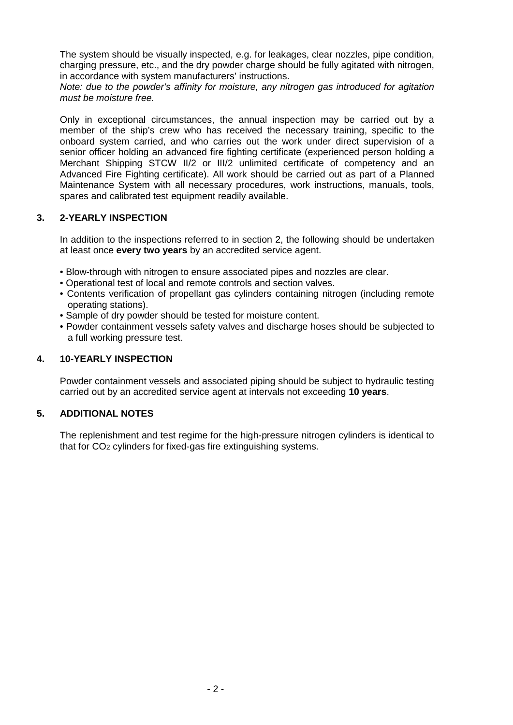The system should be visually inspected, e.g. for leakages, clear nozzles, pipe condition, charging pressure, etc., and the dry powder charge should be fully agitated with nitrogen, in accordance with system manufacturers' instructions.

*Note: due to the powder's affinity for moisture, any nitrogen gas introduced for agitation must be moisture free.*

Only in exceptional circumstances, the annual inspection may be carried out by a member of the ship's crew who has received the necessary training, specific to the onboard system carried, and who carries out the work under direct supervision of a senior officer holding an advanced fire fighting certificate (experienced person holding a Merchant Shipping STCW II/2 or III/2 unlimited certificate of competency and an Advanced Fire Fighting certificate). All work should be carried out as part of a Planned Maintenance System with all necessary procedures, work instructions, manuals, tools, spares and calibrated test equipment readily available.

#### **3. 2-YEARLY INSPECTION**

In addition to the inspections referred to in section 2, the following should be undertaken at least once **every two years** by an accredited service agent.

- Blow-through with nitrogen to ensure associated pipes and nozzles are clear.
- Operational test of local and remote controls and section valves.
- Contents verification of propellant gas cylinders containing nitrogen (including remote operating stations).
- Sample of dry powder should be tested for moisture content.
- Powder containment vessels safety valves and discharge hoses should be subjected to a full working pressure test.

#### **4. 10-YEARLY INSPECTION**

Powder containment vessels and associated piping should be subject to hydraulic testing carried out by an accredited service agent at intervals not exceeding **10 years**.

#### **5. ADDITIONAL NOTES**

The replenishment and test regime for the high-pressure nitrogen cylinders is identical to that for CO2 cylinders for fixed-gas fire extinguishing systems.